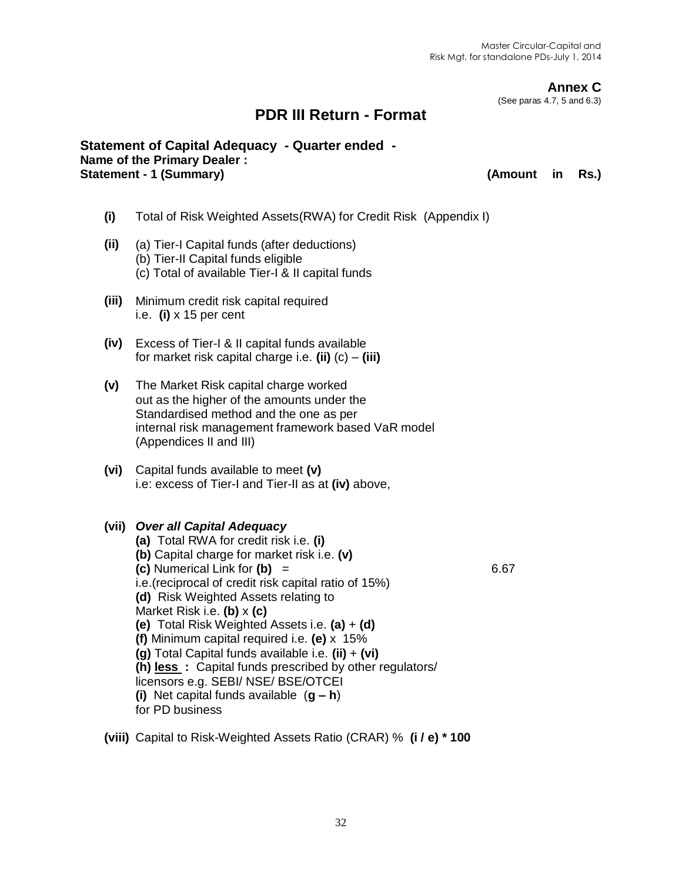**Annex C**

(See paras 4.7, 5 and 6.3)

## **PDR III Return - Format**

#### **Statement of Capital Adequacy - Quarter ended - Name of the Primary Dealer :**  Statement - 1 (Summary) **(Amount in Rs.) (Amount in Rs.)**

- **(i)** Total of Risk Weighted Assets(RWA) for Credit Risk (Appendix I)
- **(ii)** (a) Tier-I Capital funds (after deductions) (b) Tier-II Capital funds eligible (c) Total of available Tier-I & II capital funds
- **(iii)** Minimum credit risk capital required i.e. **(i)** x 15 per cent
- **(iv)** Excess of Tier-I & II capital funds available for market risk capital charge i.e. **(ii)** (c) – **(iii)**
- **(v)** The Market Risk capital charge worked out as the higher of the amounts under the Standardised method and the one as per internal risk management framework based VaR model (Appendices II and III)
- **(vi)** Capital funds available to meet **(v)** i.e: excess of Tier-I and Tier-II as at **(iv)** above,

#### **(vii)** *Over all Capital Adequacy*

- **(a)** Total RWA for credit risk i.e. **(i) (b)** Capital charge for market risk i.e. **(v) (c)** Numerical Link for **(b)** = 6.67 i.e.(reciprocal of credit risk capital ratio of 15%) **(d)** Risk Weighted Assets relating to Market Risk i.e. **(b)** x **(c) (e)** Total Risk Weighted Assets i.e. **(a)** + **(d) (f)** Minimum capital required i.e. **(e)** x 15% **(g)** Total Capital funds available i.e. **(ii)** + **(vi) (h) less :** Capital funds prescribed by other regulators/ licensors e.g. SEBI/ NSE/ BSE/OTCEI **(i)** Net capital funds available (**g – h**) for PD business
- **(viii)** Capital to Risk-Weighted Assets Ratio (CRAR) % **(i / e) \* 100**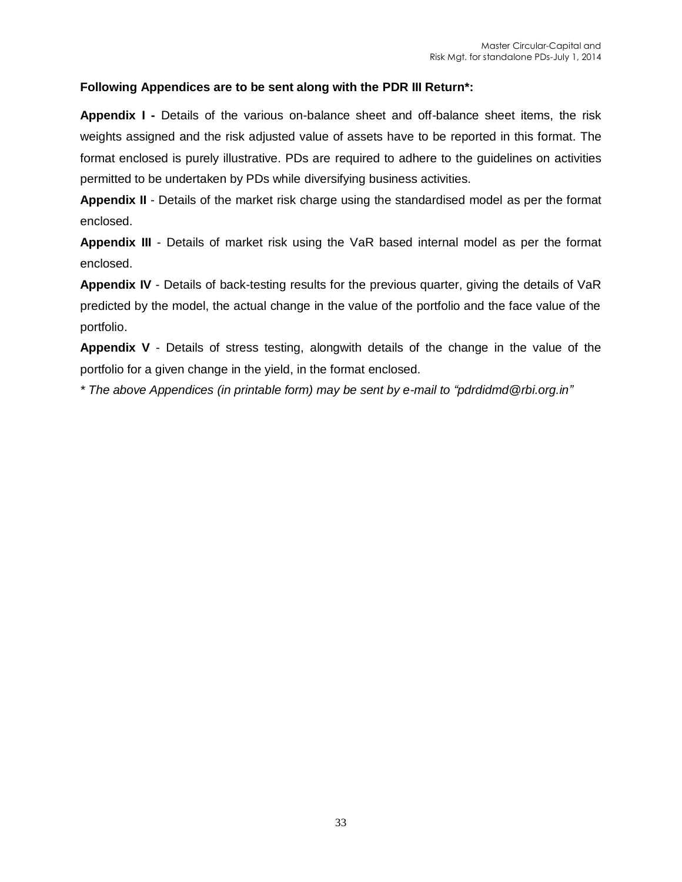#### **Following Appendices are to be sent along with the PDR III Return\*:**

**Appendix I -** Details of the various on-balance sheet and off-balance sheet items, the risk weights assigned and the risk adjusted value of assets have to be reported in this format. The format enclosed is purely illustrative. PDs are required to adhere to the guidelines on activities permitted to be undertaken by PDs while diversifying business activities.

**Appendix II** - Details of the market risk charge using the standardised model as per the format enclosed.

**Appendix III** - Details of market risk using the VaR based internal model as per the format enclosed.

**Appendix IV** - Details of back-testing results for the previous quarter, giving the details of VaR predicted by the model, the actual change in the value of the portfolio and the face value of the portfolio.

**Appendix V** - Details of stress testing, alongwith details of the change in the value of the portfolio for a given change in the yield, in the format enclosed.

*\* The above Appendices (in printable form) may be sent by e-mail to "pdrdidmd@rbi.org.in"*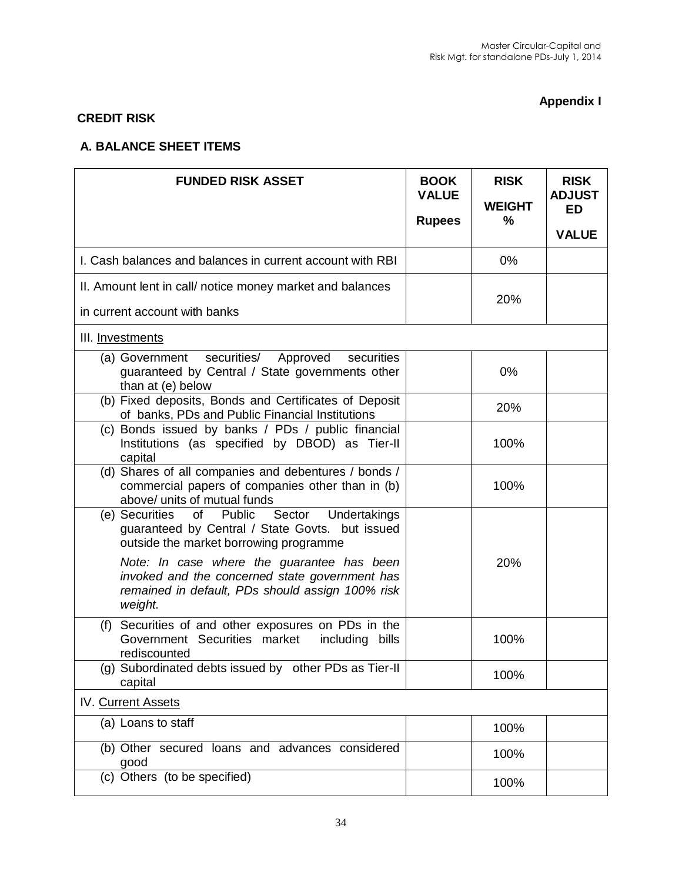# **Appendix I**

## **CREDIT RISK**

#### **A. BALANCE SHEET ITEMS**

| <b>FUNDED RISK ASSET</b>                                                                                                                                    | <b>BOOK</b><br><b>VALUE</b> | <b>RISK</b><br><b>WEIGHT</b> | <b>RISK</b><br><b>ADJUST</b><br><b>ED</b> |
|-------------------------------------------------------------------------------------------------------------------------------------------------------------|-----------------------------|------------------------------|-------------------------------------------|
|                                                                                                                                                             | <b>Rupees</b>               | $\%$                         | <b>VALUE</b>                              |
| I. Cash balances and balances in current account with RBI                                                                                                   |                             | 0%                           |                                           |
| II. Amount lent in call/ notice money market and balances                                                                                                   |                             | 20%                          |                                           |
| in current account with banks                                                                                                                               |                             |                              |                                           |
| III. Investments                                                                                                                                            |                             |                              |                                           |
| securities/<br>Approved<br>(a) Government<br>securities<br>guaranteed by Central / State governments other<br>than at (e) below                             |                             | $0\%$                        |                                           |
| (b) Fixed deposits, Bonds and Certificates of Deposit<br>of banks, PDs and Public Financial Institutions                                                    |                             | 20%                          |                                           |
| (c) Bonds issued by banks / PDs / public financial<br>Institutions (as specified by DBOD) as Tier-II<br>capital                                             |                             | 100%                         |                                           |
| (d) Shares of all companies and debentures / bonds /<br>commercial papers of companies other than in (b)<br>above/ units of mutual funds                    |                             | 100%                         |                                           |
| (e) Securities<br>of Public Sector<br>Undertakings<br>guaranteed by Central / State Govts. but issued<br>outside the market borrowing programme             |                             |                              |                                           |
| Note: In case where the guarantee has been<br>invoked and the concerned state government has<br>remained in default, PDs should assign 100% risk<br>weight. |                             | 20%                          |                                           |
| Securities of and other exposures on PDs in the<br>(f)<br>Government Securities market<br>including bills<br>rediscounted                                   |                             | 100%                         |                                           |
| (g) Subordinated debts issued by other PDs as Tier-II<br>capital                                                                                            |                             | 100%                         |                                           |
| IV. Current Assets                                                                                                                                          |                             |                              |                                           |
| (a) Loans to staff                                                                                                                                          |                             | 100%                         |                                           |
| (b) Other secured loans and advances considered<br>good                                                                                                     |                             | 100%                         |                                           |
| (c) Others (to be specified)                                                                                                                                |                             | 100%                         |                                           |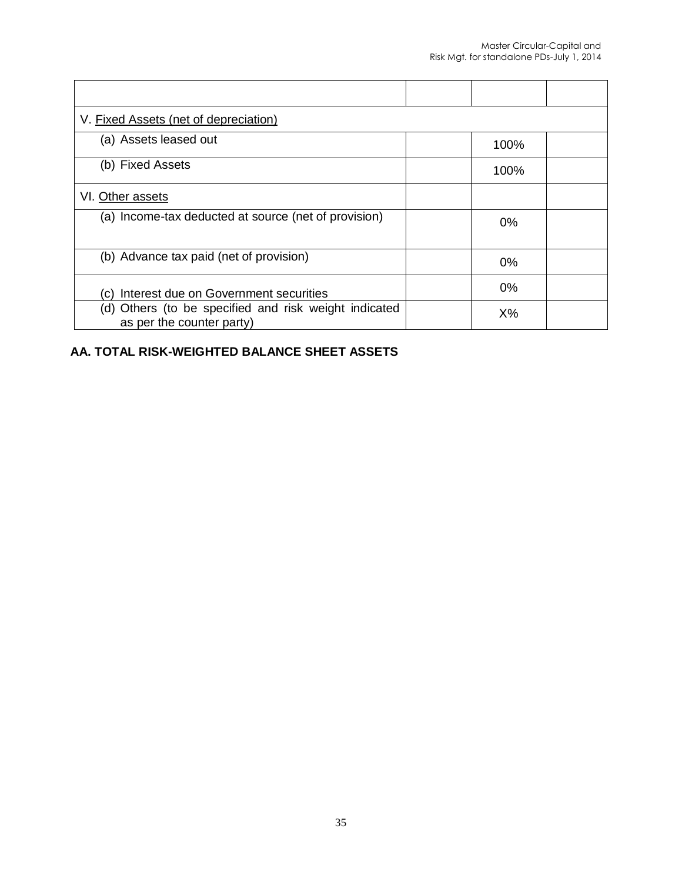| V. Fixed Assets (net of depreciation)                                              |       |  |
|------------------------------------------------------------------------------------|-------|--|
| (a) Assets leased out                                                              | 100%  |  |
| (b) Fixed Assets                                                                   | 100%  |  |
| VI. Other assets                                                                   |       |  |
| (a) Income-tax deducted at source (net of provision)                               | 0%    |  |
| (b) Advance tax paid (net of provision)                                            | 0%    |  |
| Interest due on Government securities<br>(C)                                       | 0%    |  |
| (d) Others (to be specified and risk weight indicated<br>as per the counter party) | $X\%$ |  |

## **AA. TOTAL RISK-WEIGHTED BALANCE SHEET ASSETS**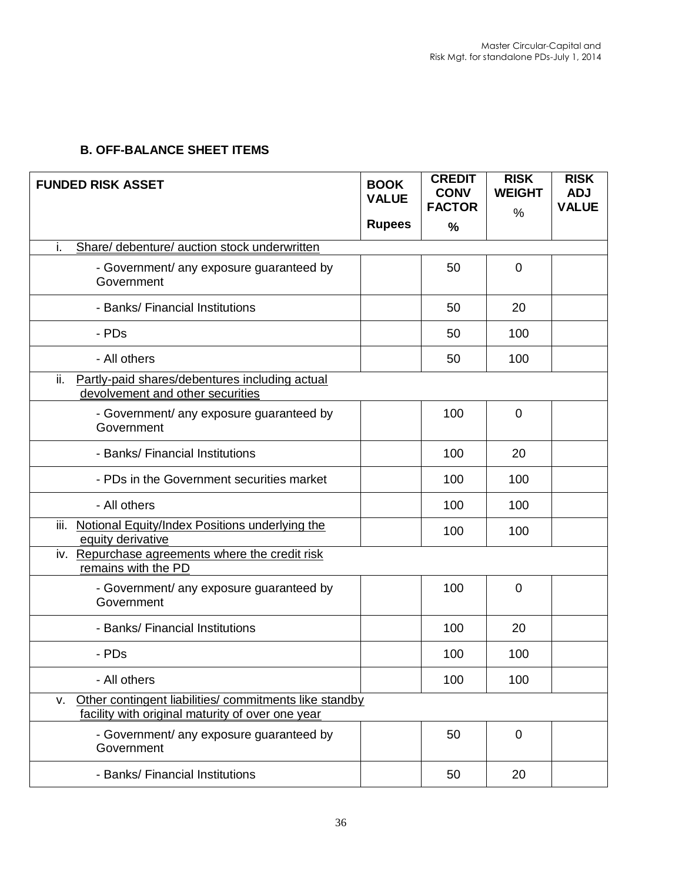## **B. OFF-BALANCE SHEET ITEMS**

| <b>FUNDED RISK ASSET</b>                                                                                         | <b>BOOK</b><br><b>VALUE</b><br><b>Rupees</b> | <b>CREDIT</b><br><b>CONV</b><br><b>FACTOR</b><br>$\frac{0}{0}$ | <b>RISK</b><br><b>WEIGHT</b><br>% | <b>RISK</b><br><b>ADJ</b><br><b>VALUE</b> |
|------------------------------------------------------------------------------------------------------------------|----------------------------------------------|----------------------------------------------------------------|-----------------------------------|-------------------------------------------|
| i.<br>Share/ debenture/ auction stock underwritten                                                               |                                              |                                                                |                                   |                                           |
| - Government/ any exposure guaranteed by<br>Government                                                           |                                              | 50                                                             | $\mathbf 0$                       |                                           |
| - Banks/ Financial Institutions                                                                                  |                                              | 50                                                             | 20                                |                                           |
| - PDs                                                                                                            |                                              | 50                                                             | 100                               |                                           |
| - All others                                                                                                     |                                              | 50                                                             | 100                               |                                           |
| ii.<br>Partly-paid shares/debentures including actual<br>devolvement and other securities                        |                                              |                                                                |                                   |                                           |
| - Government/ any exposure guaranteed by<br>Government                                                           |                                              | 100                                                            | $\mathbf 0$                       |                                           |
| - Banks/ Financial Institutions                                                                                  |                                              | 100                                                            | 20                                |                                           |
| - PDs in the Government securities market                                                                        |                                              | 100                                                            | 100                               |                                           |
| - All others                                                                                                     |                                              | 100                                                            | 100                               |                                           |
| iii. Notional Equity/Index Positions underlying the<br>equity derivative                                         |                                              | 100                                                            | 100                               |                                           |
| iv. Repurchase agreements where the credit risk<br>remains with the PD                                           |                                              |                                                                |                                   |                                           |
| - Government/ any exposure guaranteed by<br>Government                                                           |                                              | 100                                                            | $\Omega$                          |                                           |
| - Banks/ Financial Institutions                                                                                  |                                              | 100                                                            | 20                                |                                           |
| - PDs                                                                                                            |                                              | 100                                                            | 100                               |                                           |
| - All others                                                                                                     |                                              | 100                                                            | 100                               |                                           |
| Other contingent liabilities/ commitments like standby<br>v.<br>facility with original maturity of over one year |                                              |                                                                |                                   |                                           |
| - Government/ any exposure guaranteed by<br>Government                                                           |                                              | 50                                                             | $\mathbf 0$                       |                                           |
| - Banks/ Financial Institutions                                                                                  |                                              | 50                                                             | 20                                |                                           |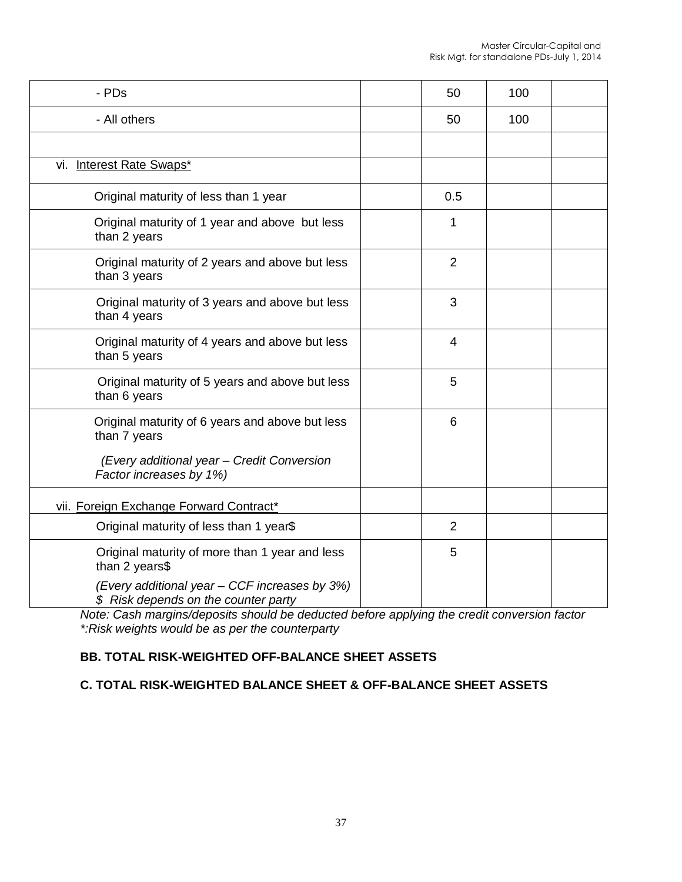| - PDs                                                                                                                                    | 50             | 100 |  |
|------------------------------------------------------------------------------------------------------------------------------------------|----------------|-----|--|
| - All others                                                                                                                             | 50             | 100 |  |
|                                                                                                                                          |                |     |  |
| vi. Interest Rate Swaps*                                                                                                                 |                |     |  |
| Original maturity of less than 1 year                                                                                                    | 0.5            |     |  |
| Original maturity of 1 year and above but less<br>than 2 years                                                                           | 1              |     |  |
| Original maturity of 2 years and above but less<br>than 3 years                                                                          | $\overline{2}$ |     |  |
| Original maturity of 3 years and above but less<br>than 4 years                                                                          | 3              |     |  |
| Original maturity of 4 years and above but less<br>than 5 years                                                                          | 4              |     |  |
| Original maturity of 5 years and above but less<br>than 6 years                                                                          | 5              |     |  |
| Original maturity of 6 years and above but less<br>than 7 years<br>(Every additional year - Credit Conversion<br>Factor increases by 1%) | 6              |     |  |
| vii. Foreign Exchange Forward Contract*                                                                                                  |                |     |  |
| Original maturity of less than 1 year\$                                                                                                  | $\overline{2}$ |     |  |
| Original maturity of more than 1 year and less<br>than 2 years\$                                                                         | 5              |     |  |
| (Every additional year - CCF increases by 3%)<br>\$ Risk depends on the counter party                                                    |                |     |  |

*Note: Cash margins/deposits should be deducted before applying the credit conversion factor \*:Risk weights would be as per the counterparty*

#### **BB. TOTAL RISK-WEIGHTED OFF-BALANCE SHEET ASSETS**

#### **C. TOTAL RISK-WEIGHTED BALANCE SHEET & OFF-BALANCE SHEET ASSETS**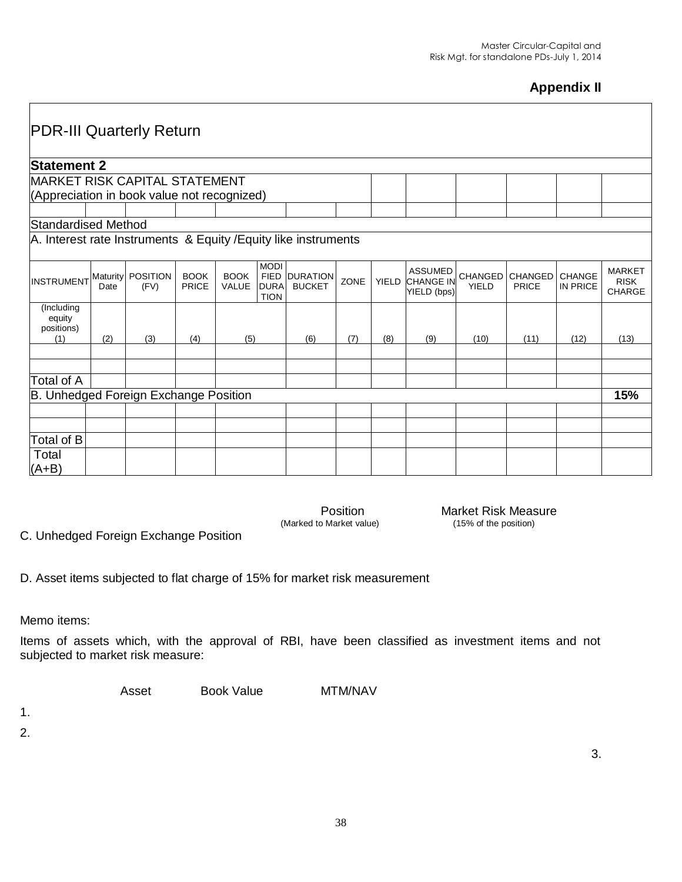# **Appendix II**

| <b>PDR-III Quarterly Return</b>                                 |                  |                         |                      |                             |                                           |                                       |      |              |                                                   |                         |                  |                           |                                               |
|-----------------------------------------------------------------|------------------|-------------------------|----------------------|-----------------------------|-------------------------------------------|---------------------------------------|------|--------------|---------------------------------------------------|-------------------------|------------------|---------------------------|-----------------------------------------------|
| <b>Statement 2</b>                                              |                  |                         |                      |                             |                                           |                                       |      |              |                                                   |                         |                  |                           |                                               |
| <b>MARKET RISK CAPITAL STATEMENT</b>                            |                  |                         |                      |                             |                                           |                                       |      |              |                                                   |                         |                  |                           |                                               |
| (Appreciation in book value not recognized)                     |                  |                         |                      |                             |                                           |                                       |      |              |                                                   |                         |                  |                           |                                               |
|                                                                 |                  |                         |                      |                             |                                           |                                       |      |              |                                                   |                         |                  |                           |                                               |
| Standardised Method                                             |                  |                         |                      |                             |                                           |                                       |      |              |                                                   |                         |                  |                           |                                               |
| A. Interest rate Instruments & Equity / Equity like instruments |                  |                         |                      |                             |                                           |                                       |      |              |                                                   |                         |                  |                           |                                               |
| <b>INSTRUMENT</b>                                               | Maturity<br>Date | <b>POSITION</b><br>(FV) | <b>BOOK</b><br>PRICE | <b>BOOK</b><br><b>VALUE</b> | <b>MODI</b><br><b>DURA</b><br><b>TION</b> | <b>FIED DURATION</b><br><b>BUCKET</b> | ZONE | <b>YIELD</b> | <b>ASSUMED</b><br><b>CHANGE IN</b><br>YIELD (bps) | CHANGED<br><b>YIELD</b> | CHANGED<br>PRICE | <b>CHANGE</b><br>IN PRICE | <b>MARKET</b><br><b>RISK</b><br><b>CHARGE</b> |
| (Including<br>equity<br>positions)<br>(1)                       | (2)              | (3)                     | (4)                  | (5)                         |                                           | (6)                                   | (7)  | (8)          | (9)                                               | (10)                    | (11)             | (12)                      | (13)                                          |
|                                                                 |                  |                         |                      |                             |                                           |                                       |      |              |                                                   |                         |                  |                           |                                               |
|                                                                 |                  |                         |                      |                             |                                           |                                       |      |              |                                                   |                         |                  |                           |                                               |
| Total of A                                                      |                  |                         |                      |                             |                                           |                                       |      |              |                                                   |                         |                  |                           |                                               |
| <b>B. Unhedged Foreign Exchange Position</b>                    |                  |                         |                      |                             |                                           |                                       |      |              |                                                   |                         |                  |                           | 15%                                           |
|                                                                 |                  |                         |                      |                             |                                           |                                       |      |              |                                                   |                         |                  |                           |                                               |
|                                                                 |                  |                         |                      |                             |                                           |                                       |      |              |                                                   |                         |                  |                           |                                               |
| Total of B                                                      |                  |                         |                      |                             |                                           |                                       |      |              |                                                   |                         |                  |                           |                                               |
| Total<br>$(A+B)$                                                |                  |                         |                      |                             |                                           |                                       |      |              |                                                   |                         |                  |                           |                                               |

(Marked to Market value)

Position **Market Risk Measure**<br>
Market value) **Market Risk Measure**<br>
(15% of the position)

C. Unhedged Foreign Exchange Position

D. Asset items subjected to flat charge of 15% for market risk measurement

Memo items:

Items of assets which, with the approval of RBI, have been classified as investment items and not subjected to market risk measure:

Asset Book Value MTM/NAV

1.

2.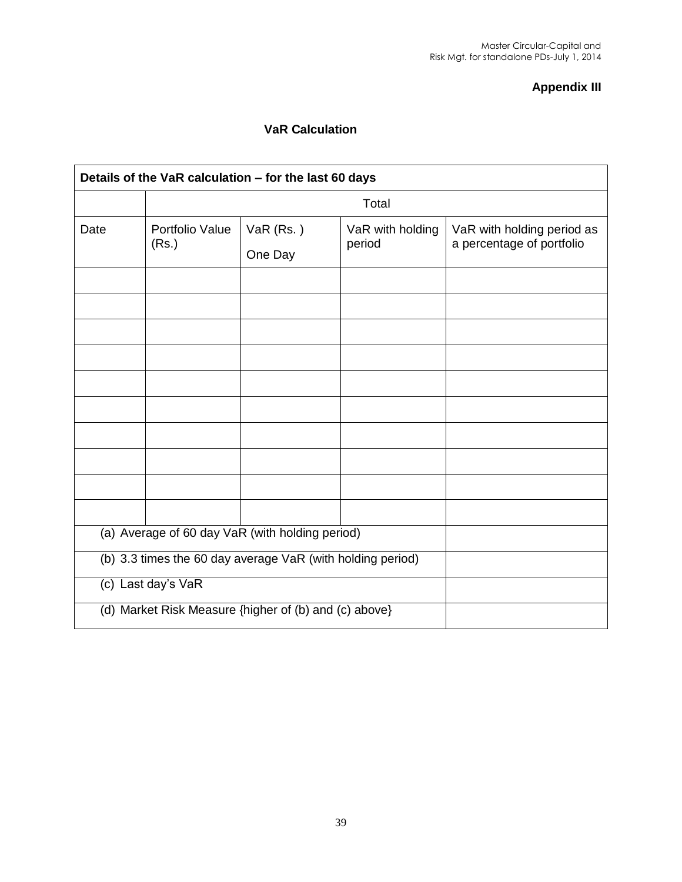#### **Appendix III**

#### **VaR Calculation**

| Details of the VaR calculation - for the last 60 days |                                                            |                      |                            |                                                         |  |  |  |  |  |  |  |
|-------------------------------------------------------|------------------------------------------------------------|----------------------|----------------------------|---------------------------------------------------------|--|--|--|--|--|--|--|
|                                                       | Total                                                      |                      |                            |                                                         |  |  |  |  |  |  |  |
| Date                                                  | Portfolio Value<br>(Rs.)                                   | VaR (Rs.)<br>One Day | VaR with holding<br>period | VaR with holding period as<br>a percentage of portfolio |  |  |  |  |  |  |  |
|                                                       |                                                            |                      |                            |                                                         |  |  |  |  |  |  |  |
|                                                       |                                                            |                      |                            |                                                         |  |  |  |  |  |  |  |
|                                                       |                                                            |                      |                            |                                                         |  |  |  |  |  |  |  |
|                                                       |                                                            |                      |                            |                                                         |  |  |  |  |  |  |  |
|                                                       |                                                            |                      |                            |                                                         |  |  |  |  |  |  |  |
|                                                       |                                                            |                      |                            |                                                         |  |  |  |  |  |  |  |
|                                                       |                                                            |                      |                            |                                                         |  |  |  |  |  |  |  |
|                                                       |                                                            |                      |                            |                                                         |  |  |  |  |  |  |  |
|                                                       |                                                            |                      |                            |                                                         |  |  |  |  |  |  |  |
|                                                       |                                                            |                      |                            |                                                         |  |  |  |  |  |  |  |
|                                                       | (a) Average of 60 day VaR (with holding period)            |                      |                            |                                                         |  |  |  |  |  |  |  |
|                                                       | (b) 3.3 times the 60 day average VaR (with holding period) |                      |                            |                                                         |  |  |  |  |  |  |  |
|                                                       | (c) Last day's VaR                                         |                      |                            |                                                         |  |  |  |  |  |  |  |
|                                                       | (d) Market Risk Measure {higher of (b) and (c) above}      |                      |                            |                                                         |  |  |  |  |  |  |  |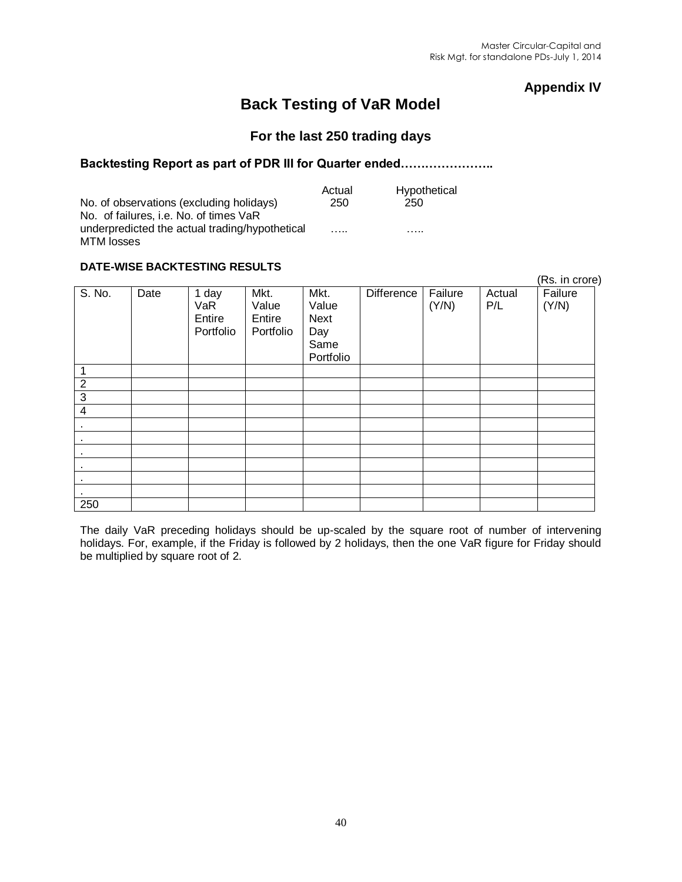#### **Appendix IV**

# **Back Testing of VaR Model**

#### **For the last 250 trading days**

#### **Backtesting Report as part of PDR III for Quarter ended…………………..**

|                                                | Actual | Hypothetical |
|------------------------------------------------|--------|--------------|
| No. of observations (excluding holidays)       | 250    | 250          |
| No. of failures, i.e. No. of times VaR         |        |              |
| underpredicted the actual trading/hypothetical | .      | .            |
| MTM losses                                     |        |              |

#### **DATE-WISE BACKTESTING RESULTS**

| PATE MOL PAVILLOIMO REGGETO |      |                                     |                                      |                                                          |                   |                  |               |                  |  |
|-----------------------------|------|-------------------------------------|--------------------------------------|----------------------------------------------------------|-------------------|------------------|---------------|------------------|--|
|                             |      |                                     |                                      |                                                          |                   |                  |               | (Rs. in crore)   |  |
| $\overline{S}$ . No.        | Date | 1 day<br>VaR<br>Entire<br>Portfolio | Mkt.<br>Value<br>Entire<br>Portfolio | Mkt.<br>Value<br><b>Next</b><br>Day<br>Same<br>Portfolio | <b>Difference</b> | Failure<br>(Y/N) | Actual<br>P/L | Failure<br>(Y/N) |  |
| 1                           |      |                                     |                                      |                                                          |                   |                  |               |                  |  |
| $\overline{2}$              |      |                                     |                                      |                                                          |                   |                  |               |                  |  |
| $\mathbf{3}$                |      |                                     |                                      |                                                          |                   |                  |               |                  |  |
| $\overline{4}$              |      |                                     |                                      |                                                          |                   |                  |               |                  |  |
| $\sim$                      |      |                                     |                                      |                                                          |                   |                  |               |                  |  |
| $\sim$                      |      |                                     |                                      |                                                          |                   |                  |               |                  |  |
| $\sim$                      |      |                                     |                                      |                                                          |                   |                  |               |                  |  |
| $\sim$                      |      |                                     |                                      |                                                          |                   |                  |               |                  |  |
| $\sim$                      |      |                                     |                                      |                                                          |                   |                  |               |                  |  |
| $\sim$                      |      |                                     |                                      |                                                          |                   |                  |               |                  |  |
| 250                         |      |                                     |                                      |                                                          |                   |                  |               |                  |  |

The daily VaR preceding holidays should be up-scaled by the square root of number of intervening holidays. For, example, if the Friday is followed by 2 holidays, then the one VaR figure for Friday should be multiplied by square root of 2.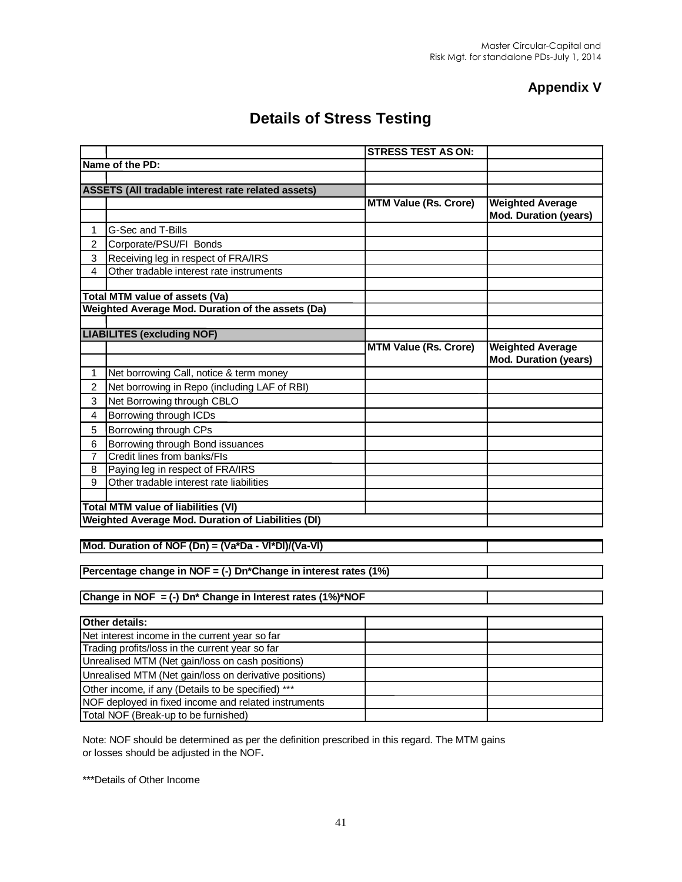#### **Appendix V**

# **Details of Stress Testing**

|                |                                                                                                   | <b>STRESS TEST AS ON:</b>    |                              |
|----------------|---------------------------------------------------------------------------------------------------|------------------------------|------------------------------|
|                | Name of the PD:                                                                                   |                              |                              |
|                |                                                                                                   |                              |                              |
|                | ASSETS (All tradable interest rate related assets)                                                |                              |                              |
|                |                                                                                                   | <b>MTM Value (Rs. Crore)</b> | <b>Weighted Average</b>      |
|                |                                                                                                   |                              | <b>Mod. Duration (years)</b> |
| 1              | G-Sec and T-Bills                                                                                 |                              |                              |
| $\overline{2}$ | Corporate/PSU/FI Bonds                                                                            |                              |                              |
| 3              | Receiving leg in respect of FRA/IRS                                                               |                              |                              |
| 4              | Other tradable interest rate instruments                                                          |                              |                              |
|                |                                                                                                   |                              |                              |
|                | Total MTM value of assets (Va)                                                                    |                              |                              |
|                | Weighted Average Mod. Duration of the assets (Da)                                                 |                              |                              |
|                |                                                                                                   |                              |                              |
|                | <b>LIABILITES (excluding NOF)</b>                                                                 |                              |                              |
|                |                                                                                                   | <b>MTM Value (Rs. Crore)</b> | <b>Weighted Average</b>      |
|                |                                                                                                   |                              | <b>Mod. Duration (years)</b> |
| 1              | Net borrowing Call, notice & term money                                                           |                              |                              |
| 2              | Net borrowing in Repo (including LAF of RBI)                                                      |                              |                              |
| 3              | Net Borrowing through CBLO                                                                        |                              |                              |
| 4              | Borrowing through ICDs                                                                            |                              |                              |
| 5              | Borrowing through CPs                                                                             |                              |                              |
| 6              | Borrowing through Bond issuances                                                                  |                              |                              |
| 7              | Credit lines from banks/FIs                                                                       |                              |                              |
| 8              | Paying leg in respect of FRA/IRS                                                                  |                              |                              |
| 9              | Other tradable interest rate liabilities                                                          |                              |                              |
|                |                                                                                                   |                              |                              |
|                | <b>Total MTM value of liabilities (VI)</b>                                                        |                              |                              |
|                | Weighted Average Mod. Duration of Liabilities (DI)                                                |                              |                              |
|                |                                                                                                   |                              |                              |
|                | Mod. Duration of NOF (Dn) = (Va*Da - VI*DI)/(Va-VI)                                               |                              |                              |
|                |                                                                                                   |                              |                              |
|                | Percentage change in NOF = (-) Dn*Change in interest rates (1%)                                   |                              |                              |
|                |                                                                                                   |                              |                              |
|                | Change in NOF = $(-)$ Dn <sup>*</sup> Change in Interest rates $(1\%)^*NOF$                       |                              |                              |
|                | Other details:                                                                                    |                              |                              |
|                |                                                                                                   |                              |                              |
|                | Net interest income in the current year so far<br>Trading profits/loss in the current year so far |                              |                              |
|                | Unrealised MTM (Net gain/loss on cash positions)                                                  |                              |                              |
|                | Unrealised MTM (Net gain/loss on derivative positions)                                            |                              |                              |
|                |                                                                                                   |                              |                              |
|                | Other income, if any (Details to be specified) ***                                                |                              |                              |
|                | NOF deployed in fixed income and related instruments                                              |                              |                              |
|                | Total NOF (Break-up to be furnished)                                                              |                              |                              |

Note: NOF should be determined as per the definition prescribed in this regard. The MTM gains or losses should be adjusted in the NOF**.**

\*\*\*Details of Other Income